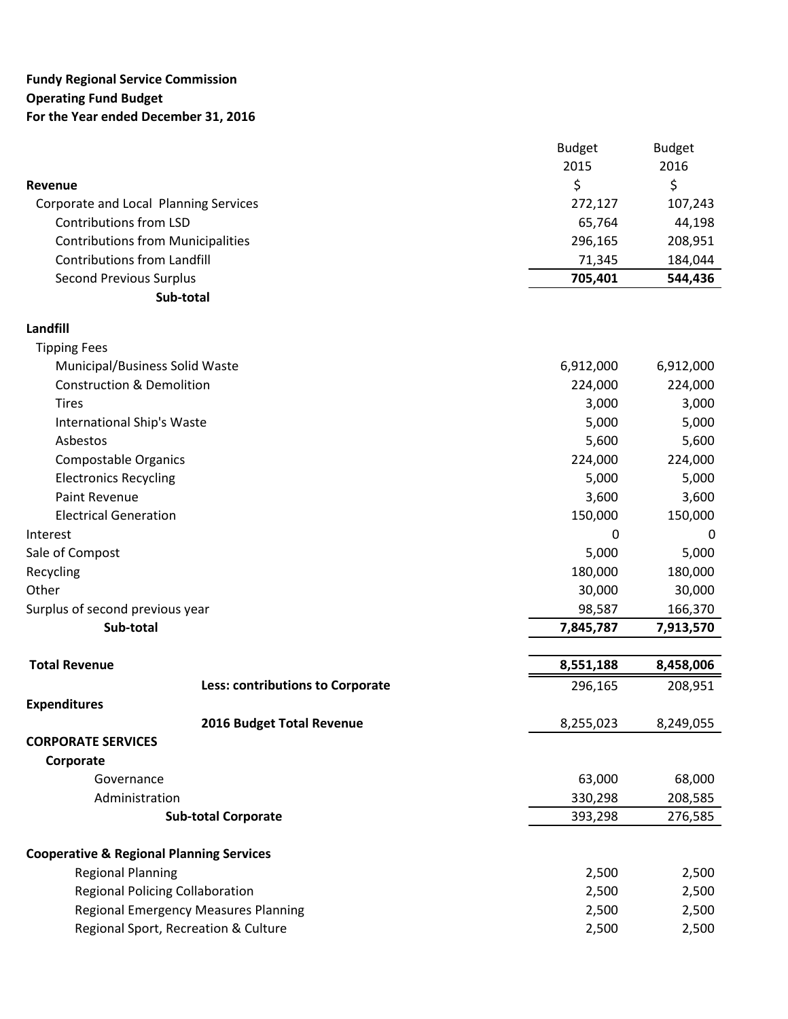## **Fundy Regional Service Commission Operating Fund Budget For the Year ended December 31, 2016**

|                                          | <b>Budget</b> | <b>Budget</b> |
|------------------------------------------|---------------|---------------|
|                                          | 2015          | 2016          |
| Revenue                                  |               | \$            |
| Corporate and Local Planning Services    | 272,127       | 107,243       |
| Contributions from LSD                   | 65,764        | 44,198        |
| <b>Contributions from Municipalities</b> | 296,165       | 208,951       |
| Contributions from Landfill              | 71.345        | 184,044       |
| <b>Second Previous Surplus</b>           | 705.401       | 544,436       |
| Sub-total                                |               |               |

## **Landfill**

| <b>Tipping Fees</b>                  |                                  |           |           |
|--------------------------------------|----------------------------------|-----------|-----------|
| Municipal/Business Solid Waste       |                                  | 6,912,000 | 6,912,000 |
| <b>Construction &amp; Demolition</b> |                                  | 224,000   | 224,000   |
| <b>Tires</b>                         |                                  | 3,000     | 3,000     |
| International Ship's Waste           |                                  | 5,000     | 5,000     |
| Asbestos                             |                                  | 5,600     | 5,600     |
| <b>Compostable Organics</b>          |                                  | 224,000   | 224,000   |
| <b>Electronics Recycling</b>         |                                  | 5,000     | 5,000     |
| <b>Paint Revenue</b>                 |                                  | 3,600     | 3,600     |
| <b>Electrical Generation</b>         |                                  | 150,000   | 150,000   |
| Interest                             |                                  | 0         | 0         |
| Sale of Compost                      |                                  | 5,000     | 5,000     |
| Recycling                            |                                  | 180,000   | 180,000   |
| Other                                |                                  | 30,000    | 30,000    |
| Surplus of second previous year      |                                  | 98,587    | 166,370   |
| Sub-total                            |                                  | 7,845,787 | 7,913,570 |
| <b>Total Revenue</b>                 |                                  | 8,551,188 | 8,458,006 |
|                                      | Less: contributions to Corporate | 296,165   | 208,951   |
| <b>Expenditures</b>                  |                                  |           |           |
|                                      | 2016 Budget Total Revenue        | 8,255,023 | 8,249,055 |
| <b>CORPORATE SERVICES</b>            |                                  |           |           |
| Corporate                            |                                  |           |           |
|                                      |                                  | 63,000    | 68,000    |
| Governance                           |                                  |           |           |
| Administration                       |                                  | 330,298   | 208,585   |

| <b>Regional Planning</b>                    | 2.500 | 2.500 |
|---------------------------------------------|-------|-------|
| Regional Policing Collaboration             | 2.500 | 2.500 |
| <b>Regional Emergency Measures Planning</b> | 2.500 | 2.500 |
| Regional Sport, Recreation & Culture        | 2.500 | 2.500 |
|                                             |       |       |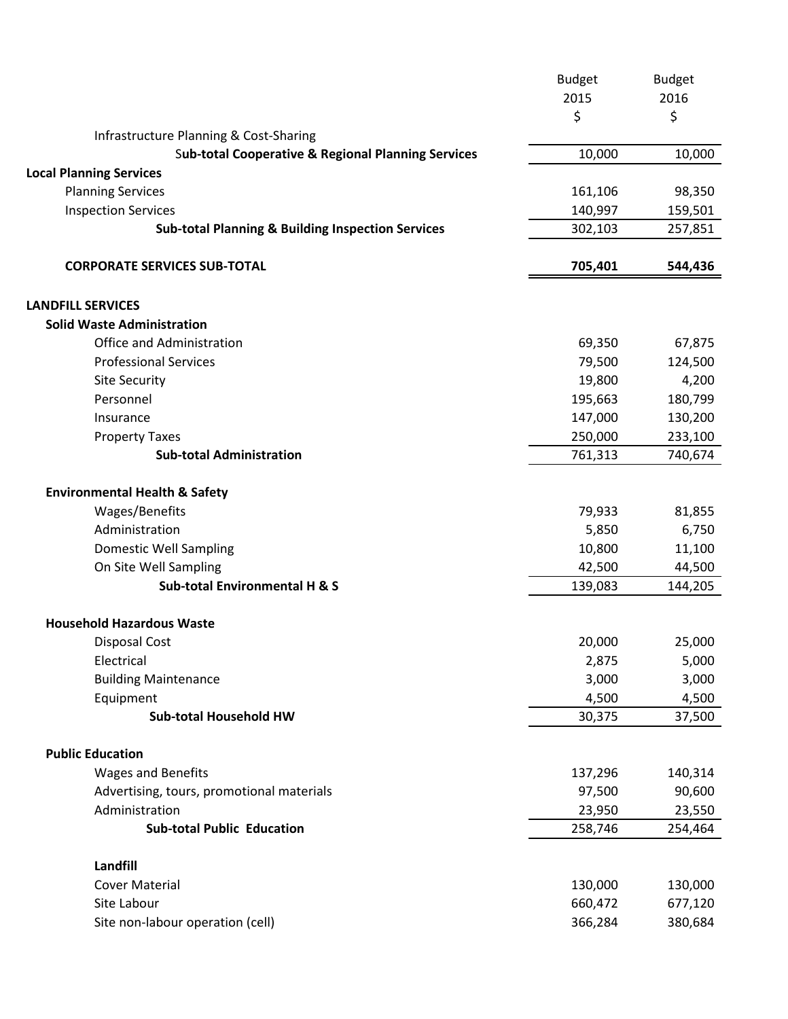| 2015<br>2016<br>\$<br>\$<br>Infrastructure Planning & Cost-Sharing<br>10,000<br><b>Sub-total Cooperative &amp; Regional Planning Services</b><br>10,000<br><b>Local Planning Services</b><br><b>Planning Services</b><br>161,106<br>98,350<br><b>Inspection Services</b><br>140,997<br>159,501<br><b>Sub-total Planning &amp; Building Inspection Services</b><br>302,103<br>257,851<br><b>CORPORATE SERVICES SUB-TOTAL</b><br>705,401<br>544,436<br><b>Solid Waste Administration</b><br>Office and Administration<br>69,350<br>67,875<br><b>Professional Services</b><br>79,500<br>124,500<br>19,800<br>4,200<br><b>Site Security</b><br>Personnel<br>195,663<br>180,799<br>147,000<br>130,200<br>Insurance<br>250,000<br>233,100<br><b>Property Taxes</b><br><b>Sub-total Administration</b><br>761,313<br>740,674<br><b>Environmental Health &amp; Safety</b><br>Wages/Benefits<br>79,933<br>81,855<br>5,850<br>Administration<br>6,750<br>10,800<br><b>Domestic Well Sampling</b><br>11,100<br>On Site Well Sampling<br>42,500<br>44,500<br><b>Sub-total Environmental H &amp; S</b><br>139,083<br>144,205<br><b>Household Hazardous Waste</b><br>20,000<br>25,000<br><b>Disposal Cost</b><br>Electrical<br>2,875<br>5,000<br>3,000<br><b>Building Maintenance</b><br>3,000<br>4,500<br>Equipment<br>4,500<br><b>Sub-total Household HW</b><br>30,375<br>37,500<br><b>Public Education</b><br>Wages and Benefits<br>137,296<br>140,314<br>Advertising, tours, promotional materials<br>97,500<br>90,600<br>Administration<br>23,950<br>23,550<br><b>Sub-total Public Education</b><br>258,746<br>254,464<br>Landfill<br><b>Cover Material</b><br>130,000<br>130,000<br>Site Labour<br>660,472<br>677,120 |                                  | <b>Budget</b> | <b>Budget</b> |
|---------------------------------------------------------------------------------------------------------------------------------------------------------------------------------------------------------------------------------------------------------------------------------------------------------------------------------------------------------------------------------------------------------------------------------------------------------------------------------------------------------------------------------------------------------------------------------------------------------------------------------------------------------------------------------------------------------------------------------------------------------------------------------------------------------------------------------------------------------------------------------------------------------------------------------------------------------------------------------------------------------------------------------------------------------------------------------------------------------------------------------------------------------------------------------------------------------------------------------------------------------------------------------------------------------------------------------------------------------------------------------------------------------------------------------------------------------------------------------------------------------------------------------------------------------------------------------------------------------------------------------------------------------------------------------------------------------------|----------------------------------|---------------|---------------|
|                                                                                                                                                                                                                                                                                                                                                                                                                                                                                                                                                                                                                                                                                                                                                                                                                                                                                                                                                                                                                                                                                                                                                                                                                                                                                                                                                                                                                                                                                                                                                                                                                                                                                                               |                                  |               |               |
|                                                                                                                                                                                                                                                                                                                                                                                                                                                                                                                                                                                                                                                                                                                                                                                                                                                                                                                                                                                                                                                                                                                                                                                                                                                                                                                                                                                                                                                                                                                                                                                                                                                                                                               |                                  |               |               |
|                                                                                                                                                                                                                                                                                                                                                                                                                                                                                                                                                                                                                                                                                                                                                                                                                                                                                                                                                                                                                                                                                                                                                                                                                                                                                                                                                                                                                                                                                                                                                                                                                                                                                                               |                                  |               |               |
|                                                                                                                                                                                                                                                                                                                                                                                                                                                                                                                                                                                                                                                                                                                                                                                                                                                                                                                                                                                                                                                                                                                                                                                                                                                                                                                                                                                                                                                                                                                                                                                                                                                                                                               |                                  |               |               |
|                                                                                                                                                                                                                                                                                                                                                                                                                                                                                                                                                                                                                                                                                                                                                                                                                                                                                                                                                                                                                                                                                                                                                                                                                                                                                                                                                                                                                                                                                                                                                                                                                                                                                                               |                                  |               |               |
|                                                                                                                                                                                                                                                                                                                                                                                                                                                                                                                                                                                                                                                                                                                                                                                                                                                                                                                                                                                                                                                                                                                                                                                                                                                                                                                                                                                                                                                                                                                                                                                                                                                                                                               |                                  |               |               |
|                                                                                                                                                                                                                                                                                                                                                                                                                                                                                                                                                                                                                                                                                                                                                                                                                                                                                                                                                                                                                                                                                                                                                                                                                                                                                                                                                                                                                                                                                                                                                                                                                                                                                                               |                                  |               |               |
|                                                                                                                                                                                                                                                                                                                                                                                                                                                                                                                                                                                                                                                                                                                                                                                                                                                                                                                                                                                                                                                                                                                                                                                                                                                                                                                                                                                                                                                                                                                                                                                                                                                                                                               |                                  |               |               |
|                                                                                                                                                                                                                                                                                                                                                                                                                                                                                                                                                                                                                                                                                                                                                                                                                                                                                                                                                                                                                                                                                                                                                                                                                                                                                                                                                                                                                                                                                                                                                                                                                                                                                                               |                                  |               |               |
|                                                                                                                                                                                                                                                                                                                                                                                                                                                                                                                                                                                                                                                                                                                                                                                                                                                                                                                                                                                                                                                                                                                                                                                                                                                                                                                                                                                                                                                                                                                                                                                                                                                                                                               | <b>LANDFILL SERVICES</b>         |               |               |
|                                                                                                                                                                                                                                                                                                                                                                                                                                                                                                                                                                                                                                                                                                                                                                                                                                                                                                                                                                                                                                                                                                                                                                                                                                                                                                                                                                                                                                                                                                                                                                                                                                                                                                               |                                  |               |               |
|                                                                                                                                                                                                                                                                                                                                                                                                                                                                                                                                                                                                                                                                                                                                                                                                                                                                                                                                                                                                                                                                                                                                                                                                                                                                                                                                                                                                                                                                                                                                                                                                                                                                                                               |                                  |               |               |
|                                                                                                                                                                                                                                                                                                                                                                                                                                                                                                                                                                                                                                                                                                                                                                                                                                                                                                                                                                                                                                                                                                                                                                                                                                                                                                                                                                                                                                                                                                                                                                                                                                                                                                               |                                  |               |               |
|                                                                                                                                                                                                                                                                                                                                                                                                                                                                                                                                                                                                                                                                                                                                                                                                                                                                                                                                                                                                                                                                                                                                                                                                                                                                                                                                                                                                                                                                                                                                                                                                                                                                                                               |                                  |               |               |
|                                                                                                                                                                                                                                                                                                                                                                                                                                                                                                                                                                                                                                                                                                                                                                                                                                                                                                                                                                                                                                                                                                                                                                                                                                                                                                                                                                                                                                                                                                                                                                                                                                                                                                               |                                  |               |               |
|                                                                                                                                                                                                                                                                                                                                                                                                                                                                                                                                                                                                                                                                                                                                                                                                                                                                                                                                                                                                                                                                                                                                                                                                                                                                                                                                                                                                                                                                                                                                                                                                                                                                                                               |                                  |               |               |
|                                                                                                                                                                                                                                                                                                                                                                                                                                                                                                                                                                                                                                                                                                                                                                                                                                                                                                                                                                                                                                                                                                                                                                                                                                                                                                                                                                                                                                                                                                                                                                                                                                                                                                               |                                  |               |               |
|                                                                                                                                                                                                                                                                                                                                                                                                                                                                                                                                                                                                                                                                                                                                                                                                                                                                                                                                                                                                                                                                                                                                                                                                                                                                                                                                                                                                                                                                                                                                                                                                                                                                                                               |                                  |               |               |
|                                                                                                                                                                                                                                                                                                                                                                                                                                                                                                                                                                                                                                                                                                                                                                                                                                                                                                                                                                                                                                                                                                                                                                                                                                                                                                                                                                                                                                                                                                                                                                                                                                                                                                               |                                  |               |               |
|                                                                                                                                                                                                                                                                                                                                                                                                                                                                                                                                                                                                                                                                                                                                                                                                                                                                                                                                                                                                                                                                                                                                                                                                                                                                                                                                                                                                                                                                                                                                                                                                                                                                                                               |                                  |               |               |
|                                                                                                                                                                                                                                                                                                                                                                                                                                                                                                                                                                                                                                                                                                                                                                                                                                                                                                                                                                                                                                                                                                                                                                                                                                                                                                                                                                                                                                                                                                                                                                                                                                                                                                               |                                  |               |               |
|                                                                                                                                                                                                                                                                                                                                                                                                                                                                                                                                                                                                                                                                                                                                                                                                                                                                                                                                                                                                                                                                                                                                                                                                                                                                                                                                                                                                                                                                                                                                                                                                                                                                                                               |                                  |               |               |
|                                                                                                                                                                                                                                                                                                                                                                                                                                                                                                                                                                                                                                                                                                                                                                                                                                                                                                                                                                                                                                                                                                                                                                                                                                                                                                                                                                                                                                                                                                                                                                                                                                                                                                               |                                  |               |               |
|                                                                                                                                                                                                                                                                                                                                                                                                                                                                                                                                                                                                                                                                                                                                                                                                                                                                                                                                                                                                                                                                                                                                                                                                                                                                                                                                                                                                                                                                                                                                                                                                                                                                                                               |                                  |               |               |
|                                                                                                                                                                                                                                                                                                                                                                                                                                                                                                                                                                                                                                                                                                                                                                                                                                                                                                                                                                                                                                                                                                                                                                                                                                                                                                                                                                                                                                                                                                                                                                                                                                                                                                               |                                  |               |               |
|                                                                                                                                                                                                                                                                                                                                                                                                                                                                                                                                                                                                                                                                                                                                                                                                                                                                                                                                                                                                                                                                                                                                                                                                                                                                                                                                                                                                                                                                                                                                                                                                                                                                                                               |                                  |               |               |
|                                                                                                                                                                                                                                                                                                                                                                                                                                                                                                                                                                                                                                                                                                                                                                                                                                                                                                                                                                                                                                                                                                                                                                                                                                                                                                                                                                                                                                                                                                                                                                                                                                                                                                               |                                  |               |               |
|                                                                                                                                                                                                                                                                                                                                                                                                                                                                                                                                                                                                                                                                                                                                                                                                                                                                                                                                                                                                                                                                                                                                                                                                                                                                                                                                                                                                                                                                                                                                                                                                                                                                                                               |                                  |               |               |
|                                                                                                                                                                                                                                                                                                                                                                                                                                                                                                                                                                                                                                                                                                                                                                                                                                                                                                                                                                                                                                                                                                                                                                                                                                                                                                                                                                                                                                                                                                                                                                                                                                                                                                               |                                  |               |               |
|                                                                                                                                                                                                                                                                                                                                                                                                                                                                                                                                                                                                                                                                                                                                                                                                                                                                                                                                                                                                                                                                                                                                                                                                                                                                                                                                                                                                                                                                                                                                                                                                                                                                                                               |                                  |               |               |
|                                                                                                                                                                                                                                                                                                                                                                                                                                                                                                                                                                                                                                                                                                                                                                                                                                                                                                                                                                                                                                                                                                                                                                                                                                                                                                                                                                                                                                                                                                                                                                                                                                                                                                               |                                  |               |               |
|                                                                                                                                                                                                                                                                                                                                                                                                                                                                                                                                                                                                                                                                                                                                                                                                                                                                                                                                                                                                                                                                                                                                                                                                                                                                                                                                                                                                                                                                                                                                                                                                                                                                                                               |                                  |               |               |
|                                                                                                                                                                                                                                                                                                                                                                                                                                                                                                                                                                                                                                                                                                                                                                                                                                                                                                                                                                                                                                                                                                                                                                                                                                                                                                                                                                                                                                                                                                                                                                                                                                                                                                               |                                  |               |               |
|                                                                                                                                                                                                                                                                                                                                                                                                                                                                                                                                                                                                                                                                                                                                                                                                                                                                                                                                                                                                                                                                                                                                                                                                                                                                                                                                                                                                                                                                                                                                                                                                                                                                                                               |                                  |               |               |
|                                                                                                                                                                                                                                                                                                                                                                                                                                                                                                                                                                                                                                                                                                                                                                                                                                                                                                                                                                                                                                                                                                                                                                                                                                                                                                                                                                                                                                                                                                                                                                                                                                                                                                               |                                  |               |               |
|                                                                                                                                                                                                                                                                                                                                                                                                                                                                                                                                                                                                                                                                                                                                                                                                                                                                                                                                                                                                                                                                                                                                                                                                                                                                                                                                                                                                                                                                                                                                                                                                                                                                                                               |                                  |               |               |
|                                                                                                                                                                                                                                                                                                                                                                                                                                                                                                                                                                                                                                                                                                                                                                                                                                                                                                                                                                                                                                                                                                                                                                                                                                                                                                                                                                                                                                                                                                                                                                                                                                                                                                               |                                  |               |               |
|                                                                                                                                                                                                                                                                                                                                                                                                                                                                                                                                                                                                                                                                                                                                                                                                                                                                                                                                                                                                                                                                                                                                                                                                                                                                                                                                                                                                                                                                                                                                                                                                                                                                                                               |                                  |               |               |
|                                                                                                                                                                                                                                                                                                                                                                                                                                                                                                                                                                                                                                                                                                                                                                                                                                                                                                                                                                                                                                                                                                                                                                                                                                                                                                                                                                                                                                                                                                                                                                                                                                                                                                               | Site non-labour operation (cell) | 366,284       | 380,684       |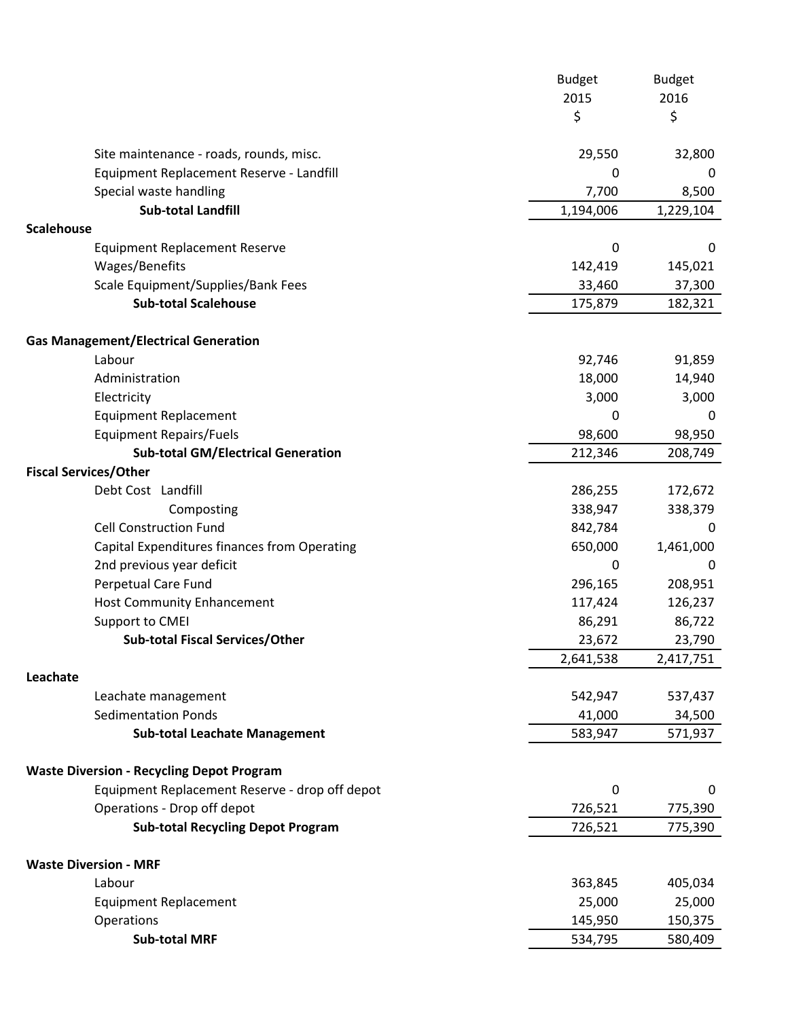| 2015<br>2016<br>\$<br>\$<br>29,550<br>Site maintenance - roads, rounds, misc.<br>32,800<br>Equipment Replacement Reserve - Landfill<br>0<br>7,700<br>Special waste handling<br>8,500<br><b>Sub-total Landfill</b><br>1,194,006<br>1,229,104<br><b>Scalehouse</b><br><b>Equipment Replacement Reserve</b><br>$\mathbf 0$<br>0<br>Wages/Benefits<br>142,419<br>145,021<br>Scale Equipment/Supplies/Bank Fees<br>33,460<br>37,300<br><b>Sub-total Scalehouse</b><br>175,879<br>182,321<br><b>Gas Management/Electrical Generation</b><br>Labour<br>92,746<br>91,859<br>Administration<br>18,000<br>14,940<br>3,000<br>3,000<br>Electricity<br><b>Equipment Replacement</b><br>0<br>0<br><b>Equipment Repairs/Fuels</b><br>98,600<br>98,950<br><b>Sub-total GM/Electrical Generation</b><br>212,346<br>208,749<br><b>Fiscal Services/Other</b><br>Debt Cost Landfill<br>286,255<br>172,672<br>338,947<br>338,379<br>Composting<br><b>Cell Construction Fund</b><br>842,784<br>0<br>Capital Expenditures finances from Operating<br>650,000<br>1,461,000<br>2nd previous year deficit<br>0<br>0<br><b>Perpetual Care Fund</b><br>208,951<br>296,165<br>117,424<br>126,237<br><b>Host Community Enhancement</b><br>Support to CMEI<br>86,291<br>86,722<br><b>Sub-total Fiscal Services/Other</b><br>23,672<br>23,790<br>2,641,538<br>2,417,751<br>Leachate<br>Leachate management<br>542,947<br>537,437<br><b>Sedimentation Ponds</b><br>41,000<br>34,500<br>583,947<br>571,937<br><b>Sub-total Leachate Management</b><br><b>Waste Diversion - Recycling Depot Program</b><br>Equipment Replacement Reserve - drop off depot<br>$\boldsymbol{0}$<br>0<br>Operations - Drop off depot<br>726,521<br>775,390<br>726,521<br><b>Sub-total Recycling Depot Program</b><br>775,390<br><b>Waste Diversion - MRF</b><br>Labour<br>363,845<br>405,034<br><b>Equipment Replacement</b><br>25,000<br>25,000<br>Operations<br>145,950<br>150,375<br><b>Sub-total MRF</b><br>534,795<br>580,409 | <b>Budget</b> | <b>Budget</b> |
|-------------------------------------------------------------------------------------------------------------------------------------------------------------------------------------------------------------------------------------------------------------------------------------------------------------------------------------------------------------------------------------------------------------------------------------------------------------------------------------------------------------------------------------------------------------------------------------------------------------------------------------------------------------------------------------------------------------------------------------------------------------------------------------------------------------------------------------------------------------------------------------------------------------------------------------------------------------------------------------------------------------------------------------------------------------------------------------------------------------------------------------------------------------------------------------------------------------------------------------------------------------------------------------------------------------------------------------------------------------------------------------------------------------------------------------------------------------------------------------------------------------------------------------------------------------------------------------------------------------------------------------------------------------------------------------------------------------------------------------------------------------------------------------------------------------------------------------------------------------------------------------------------------------------------------------------------------------------------------|---------------|---------------|
|                                                                                                                                                                                                                                                                                                                                                                                                                                                                                                                                                                                                                                                                                                                                                                                                                                                                                                                                                                                                                                                                                                                                                                                                                                                                                                                                                                                                                                                                                                                                                                                                                                                                                                                                                                                                                                                                                                                                                                               |               |               |
|                                                                                                                                                                                                                                                                                                                                                                                                                                                                                                                                                                                                                                                                                                                                                                                                                                                                                                                                                                                                                                                                                                                                                                                                                                                                                                                                                                                                                                                                                                                                                                                                                                                                                                                                                                                                                                                                                                                                                                               |               |               |
|                                                                                                                                                                                                                                                                                                                                                                                                                                                                                                                                                                                                                                                                                                                                                                                                                                                                                                                                                                                                                                                                                                                                                                                                                                                                                                                                                                                                                                                                                                                                                                                                                                                                                                                                                                                                                                                                                                                                                                               |               |               |
|                                                                                                                                                                                                                                                                                                                                                                                                                                                                                                                                                                                                                                                                                                                                                                                                                                                                                                                                                                                                                                                                                                                                                                                                                                                                                                                                                                                                                                                                                                                                                                                                                                                                                                                                                                                                                                                                                                                                                                               |               |               |
|                                                                                                                                                                                                                                                                                                                                                                                                                                                                                                                                                                                                                                                                                                                                                                                                                                                                                                                                                                                                                                                                                                                                                                                                                                                                                                                                                                                                                                                                                                                                                                                                                                                                                                                                                                                                                                                                                                                                                                               |               |               |
|                                                                                                                                                                                                                                                                                                                                                                                                                                                                                                                                                                                                                                                                                                                                                                                                                                                                                                                                                                                                                                                                                                                                                                                                                                                                                                                                                                                                                                                                                                                                                                                                                                                                                                                                                                                                                                                                                                                                                                               |               |               |
|                                                                                                                                                                                                                                                                                                                                                                                                                                                                                                                                                                                                                                                                                                                                                                                                                                                                                                                                                                                                                                                                                                                                                                                                                                                                                                                                                                                                                                                                                                                                                                                                                                                                                                                                                                                                                                                                                                                                                                               |               |               |
|                                                                                                                                                                                                                                                                                                                                                                                                                                                                                                                                                                                                                                                                                                                                                                                                                                                                                                                                                                                                                                                                                                                                                                                                                                                                                                                                                                                                                                                                                                                                                                                                                                                                                                                                                                                                                                                                                                                                                                               |               |               |
|                                                                                                                                                                                                                                                                                                                                                                                                                                                                                                                                                                                                                                                                                                                                                                                                                                                                                                                                                                                                                                                                                                                                                                                                                                                                                                                                                                                                                                                                                                                                                                                                                                                                                                                                                                                                                                                                                                                                                                               |               |               |
|                                                                                                                                                                                                                                                                                                                                                                                                                                                                                                                                                                                                                                                                                                                                                                                                                                                                                                                                                                                                                                                                                                                                                                                                                                                                                                                                                                                                                                                                                                                                                                                                                                                                                                                                                                                                                                                                                                                                                                               |               |               |
|                                                                                                                                                                                                                                                                                                                                                                                                                                                                                                                                                                                                                                                                                                                                                                                                                                                                                                                                                                                                                                                                                                                                                                                                                                                                                                                                                                                                                                                                                                                                                                                                                                                                                                                                                                                                                                                                                                                                                                               |               |               |
|                                                                                                                                                                                                                                                                                                                                                                                                                                                                                                                                                                                                                                                                                                                                                                                                                                                                                                                                                                                                                                                                                                                                                                                                                                                                                                                                                                                                                                                                                                                                                                                                                                                                                                                                                                                                                                                                                                                                                                               |               |               |
|                                                                                                                                                                                                                                                                                                                                                                                                                                                                                                                                                                                                                                                                                                                                                                                                                                                                                                                                                                                                                                                                                                                                                                                                                                                                                                                                                                                                                                                                                                                                                                                                                                                                                                                                                                                                                                                                                                                                                                               |               |               |
|                                                                                                                                                                                                                                                                                                                                                                                                                                                                                                                                                                                                                                                                                                                                                                                                                                                                                                                                                                                                                                                                                                                                                                                                                                                                                                                                                                                                                                                                                                                                                                                                                                                                                                                                                                                                                                                                                                                                                                               |               |               |
|                                                                                                                                                                                                                                                                                                                                                                                                                                                                                                                                                                                                                                                                                                                                                                                                                                                                                                                                                                                                                                                                                                                                                                                                                                                                                                                                                                                                                                                                                                                                                                                                                                                                                                                                                                                                                                                                                                                                                                               |               |               |
|                                                                                                                                                                                                                                                                                                                                                                                                                                                                                                                                                                                                                                                                                                                                                                                                                                                                                                                                                                                                                                                                                                                                                                                                                                                                                                                                                                                                                                                                                                                                                                                                                                                                                                                                                                                                                                                                                                                                                                               |               |               |
|                                                                                                                                                                                                                                                                                                                                                                                                                                                                                                                                                                                                                                                                                                                                                                                                                                                                                                                                                                                                                                                                                                                                                                                                                                                                                                                                                                                                                                                                                                                                                                                                                                                                                                                                                                                                                                                                                                                                                                               |               |               |
|                                                                                                                                                                                                                                                                                                                                                                                                                                                                                                                                                                                                                                                                                                                                                                                                                                                                                                                                                                                                                                                                                                                                                                                                                                                                                                                                                                                                                                                                                                                                                                                                                                                                                                                                                                                                                                                                                                                                                                               |               |               |
|                                                                                                                                                                                                                                                                                                                                                                                                                                                                                                                                                                                                                                                                                                                                                                                                                                                                                                                                                                                                                                                                                                                                                                                                                                                                                                                                                                                                                                                                                                                                                                                                                                                                                                                                                                                                                                                                                                                                                                               |               |               |
|                                                                                                                                                                                                                                                                                                                                                                                                                                                                                                                                                                                                                                                                                                                                                                                                                                                                                                                                                                                                                                                                                                                                                                                                                                                                                                                                                                                                                                                                                                                                                                                                                                                                                                                                                                                                                                                                                                                                                                               |               |               |
|                                                                                                                                                                                                                                                                                                                                                                                                                                                                                                                                                                                                                                                                                                                                                                                                                                                                                                                                                                                                                                                                                                                                                                                                                                                                                                                                                                                                                                                                                                                                                                                                                                                                                                                                                                                                                                                                                                                                                                               |               |               |
|                                                                                                                                                                                                                                                                                                                                                                                                                                                                                                                                                                                                                                                                                                                                                                                                                                                                                                                                                                                                                                                                                                                                                                                                                                                                                                                                                                                                                                                                                                                                                                                                                                                                                                                                                                                                                                                                                                                                                                               |               |               |
|                                                                                                                                                                                                                                                                                                                                                                                                                                                                                                                                                                                                                                                                                                                                                                                                                                                                                                                                                                                                                                                                                                                                                                                                                                                                                                                                                                                                                                                                                                                                                                                                                                                                                                                                                                                                                                                                                                                                                                               |               |               |
|                                                                                                                                                                                                                                                                                                                                                                                                                                                                                                                                                                                                                                                                                                                                                                                                                                                                                                                                                                                                                                                                                                                                                                                                                                                                                                                                                                                                                                                                                                                                                                                                                                                                                                                                                                                                                                                                                                                                                                               |               |               |
|                                                                                                                                                                                                                                                                                                                                                                                                                                                                                                                                                                                                                                                                                                                                                                                                                                                                                                                                                                                                                                                                                                                                                                                                                                                                                                                                                                                                                                                                                                                                                                                                                                                                                                                                                                                                                                                                                                                                                                               |               |               |
|                                                                                                                                                                                                                                                                                                                                                                                                                                                                                                                                                                                                                                                                                                                                                                                                                                                                                                                                                                                                                                                                                                                                                                                                                                                                                                                                                                                                                                                                                                                                                                                                                                                                                                                                                                                                                                                                                                                                                                               |               |               |
|                                                                                                                                                                                                                                                                                                                                                                                                                                                                                                                                                                                                                                                                                                                                                                                                                                                                                                                                                                                                                                                                                                                                                                                                                                                                                                                                                                                                                                                                                                                                                                                                                                                                                                                                                                                                                                                                                                                                                                               |               |               |
|                                                                                                                                                                                                                                                                                                                                                                                                                                                                                                                                                                                                                                                                                                                                                                                                                                                                                                                                                                                                                                                                                                                                                                                                                                                                                                                                                                                                                                                                                                                                                                                                                                                                                                                                                                                                                                                                                                                                                                               |               |               |
|                                                                                                                                                                                                                                                                                                                                                                                                                                                                                                                                                                                                                                                                                                                                                                                                                                                                                                                                                                                                                                                                                                                                                                                                                                                                                                                                                                                                                                                                                                                                                                                                                                                                                                                                                                                                                                                                                                                                                                               |               |               |
|                                                                                                                                                                                                                                                                                                                                                                                                                                                                                                                                                                                                                                                                                                                                                                                                                                                                                                                                                                                                                                                                                                                                                                                                                                                                                                                                                                                                                                                                                                                                                                                                                                                                                                                                                                                                                                                                                                                                                                               |               |               |
|                                                                                                                                                                                                                                                                                                                                                                                                                                                                                                                                                                                                                                                                                                                                                                                                                                                                                                                                                                                                                                                                                                                                                                                                                                                                                                                                                                                                                                                                                                                                                                                                                                                                                                                                                                                                                                                                                                                                                                               |               |               |
|                                                                                                                                                                                                                                                                                                                                                                                                                                                                                                                                                                                                                                                                                                                                                                                                                                                                                                                                                                                                                                                                                                                                                                                                                                                                                                                                                                                                                                                                                                                                                                                                                                                                                                                                                                                                                                                                                                                                                                               |               |               |
|                                                                                                                                                                                                                                                                                                                                                                                                                                                                                                                                                                                                                                                                                                                                                                                                                                                                                                                                                                                                                                                                                                                                                                                                                                                                                                                                                                                                                                                                                                                                                                                                                                                                                                                                                                                                                                                                                                                                                                               |               |               |
|                                                                                                                                                                                                                                                                                                                                                                                                                                                                                                                                                                                                                                                                                                                                                                                                                                                                                                                                                                                                                                                                                                                                                                                                                                                                                                                                                                                                                                                                                                                                                                                                                                                                                                                                                                                                                                                                                                                                                                               |               |               |
|                                                                                                                                                                                                                                                                                                                                                                                                                                                                                                                                                                                                                                                                                                                                                                                                                                                                                                                                                                                                                                                                                                                                                                                                                                                                                                                                                                                                                                                                                                                                                                                                                                                                                                                                                                                                                                                                                                                                                                               |               |               |
|                                                                                                                                                                                                                                                                                                                                                                                                                                                                                                                                                                                                                                                                                                                                                                                                                                                                                                                                                                                                                                                                                                                                                                                                                                                                                                                                                                                                                                                                                                                                                                                                                                                                                                                                                                                                                                                                                                                                                                               |               |               |
|                                                                                                                                                                                                                                                                                                                                                                                                                                                                                                                                                                                                                                                                                                                                                                                                                                                                                                                                                                                                                                                                                                                                                                                                                                                                                                                                                                                                                                                                                                                                                                                                                                                                                                                                                                                                                                                                                                                                                                               |               |               |
|                                                                                                                                                                                                                                                                                                                                                                                                                                                                                                                                                                                                                                                                                                                                                                                                                                                                                                                                                                                                                                                                                                                                                                                                                                                                                                                                                                                                                                                                                                                                                                                                                                                                                                                                                                                                                                                                                                                                                                               |               |               |
|                                                                                                                                                                                                                                                                                                                                                                                                                                                                                                                                                                                                                                                                                                                                                                                                                                                                                                                                                                                                                                                                                                                                                                                                                                                                                                                                                                                                                                                                                                                                                                                                                                                                                                                                                                                                                                                                                                                                                                               |               |               |
|                                                                                                                                                                                                                                                                                                                                                                                                                                                                                                                                                                                                                                                                                                                                                                                                                                                                                                                                                                                                                                                                                                                                                                                                                                                                                                                                                                                                                                                                                                                                                                                                                                                                                                                                                                                                                                                                                                                                                                               |               |               |
|                                                                                                                                                                                                                                                                                                                                                                                                                                                                                                                                                                                                                                                                                                                                                                                                                                                                                                                                                                                                                                                                                                                                                                                                                                                                                                                                                                                                                                                                                                                                                                                                                                                                                                                                                                                                                                                                                                                                                                               |               |               |
|                                                                                                                                                                                                                                                                                                                                                                                                                                                                                                                                                                                                                                                                                                                                                                                                                                                                                                                                                                                                                                                                                                                                                                                                                                                                                                                                                                                                                                                                                                                                                                                                                                                                                                                                                                                                                                                                                                                                                                               |               |               |